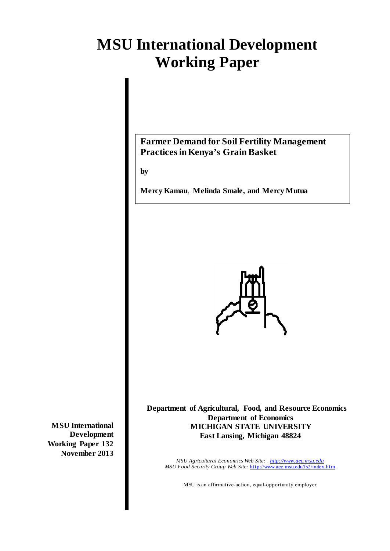# **MSU International Development Working Paper**

# **Farmer Demand for Soil Fertility Management Practices in Kenya's Grain Basket**

**by** 

**Mercy Kamau**, **Melinda Smale, and Mercy Mutua** 



**Department of Agricultural, Food, and Resource Economics Department of Economics MICHIGAN STATE UNIVERSITY East Lansing, Michigan 48824** 

*MSU Agricultural Economics Web Site: <http://www.aec.msu.edu> MSU Food Security Group Web Site:* <http://www.aec.msu.edu/fs2/index.htm>

MSU is an affirmative-action, equal-opportunity employer

**MSU International Development Working Paper 132 November 2013**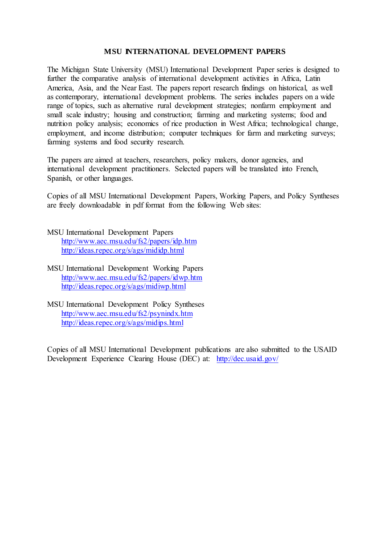#### **MSU INTERNATIONAL DEVELOPMENT PAPERS**

The Michigan State University (MSU) International Development Paper series is designed to further the comparative analysis of international development activities in Africa, Latin America, Asia, and the Near East. The papers report research findings on historical, as well as contemporary, international development problems. The series includes papers on a wide range of topics, such as alternative rural development strategies; nonfarm employment and small scale industry; housing and construction; farming and marketing systems; food and nutrition policy analysis; economics of rice production in West Africa; technological change, employment, and income distribution; computer techniques for farm and marketing surveys; farming systems and food security research.

The papers are aimed at teachers, researchers, policy makers, donor agencies, and international development practitioners. Selected papers will be translated into French, Spanish, or other languages.

Copies of all MSU International Development Papers, Working Papers, and Policy Syntheses are freely downloadable in pdf format from the following Web sites:

- MSU International Development Papers <http://www.aec.msu.edu/fs2/papers/idp.htm> <http://ideas.repec.org/s/ags/mididp.html>
- MSU International Development Working Papers <http://www.aec.msu.edu/fs2/papers/idwp.htm> <http://ideas.repec.org/s/ags/midiwp.html>
- MSU International Development Policy Syntheses <http://www.aec.msu.edu/fs2/psynindx.htm> <http://ideas.repec.org/s/ags/midips.html>

Copies of all MSU International Development publications are also submitted to the USAID Development Experience Clearing House (DEC) at: <http://dec.usaid.gov/>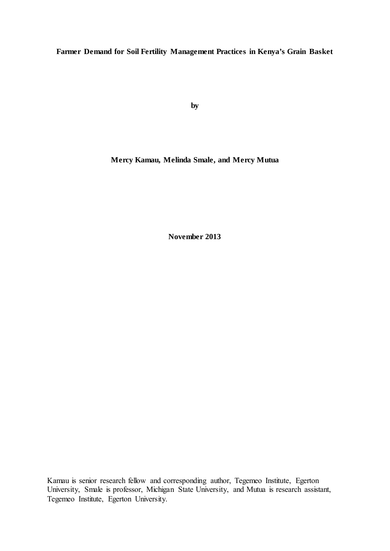**Farmer Demand for Soil Fertility Management Practices in Kenya's Grain Basket**

**by**

**Mercy Kamau, Melinda Smale, and Mercy Mutua**

**November 2013**

Kamau is senior research fellow and corresponding author, Tegemeo Institute, Egerton University, Smale is professor, Michigan State University, and Mutua is research assistant, Tegemeo Institute, Egerton University.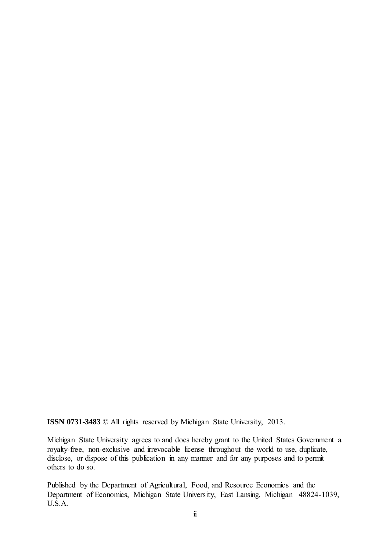**ISSN 0731-3483** © All rights reserved by Michigan State University, 2013.

Michigan State University agrees to and does hereby grant to the United States Government a royalty-free, non-exclusive and irrevocable license throughout the world to use, duplicate, disclose, or dispose of this publication in any manner and for any purposes and to permit others to do so.

Published by the Department of Agricultural, Food, and Resource Economics and the Department of Economics, Michigan State University, East Lansing, Michigan 48824-1039, U.S.A.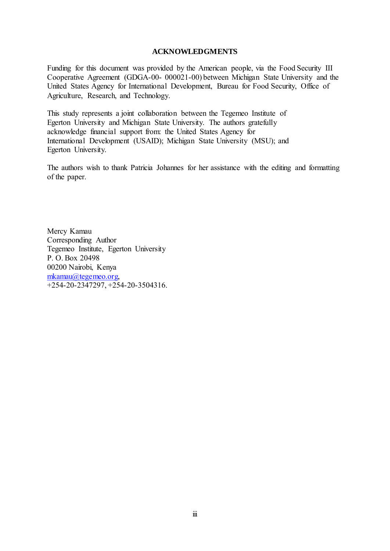#### **ACKNOWLEDGMENTS**

Funding for this document was provided by the American people, via the Food Security III Cooperative Agreement (GDGA-00- 000021-00) between Michigan State University and the United States Agency for International Development, Bureau for Food Security, Office of Agriculture, Research, and Technology.

This study represents a joint collaboration between the Tegemeo Institute of Egerton University and Michigan State University. The authors gratefully acknowledge financial support from: the United States Agency for International Development (USAID); Michigan State University (MSU); and Egerton University.

The authors wish to thank Patricia Johannes for her assistance with the editing and formatting of the paper.

Mercy Kamau Corresponding Author Tegemeo Institute, Egerton University P. O. Box 20498 00200 Nairobi, Kenya [mkamau@tegemeo.org,](mailto:mkamau@tegemeo.org)  +254-20-2347297, +254-20-3504316.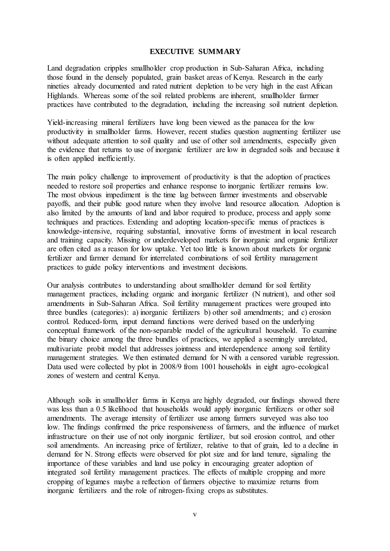#### **EXECUTIVE SUMMARY**

Land degradation cripples smallholder crop production in Sub-Saharan Africa, including those found in the densely populated, grain basket areas of Kenya. Research in the early nineties already documented and rated nutrient depletion to be very high in the east African Highlands. Whereas some of the soil related problems are inherent, smallholder farmer practices have contributed to the degradation, including the increasing soil nutrient depletion.

Yield-increasing mineral fertilizers have long been viewed as the panacea for the low productivity in smallholder farms. However, recent studies question augmenting fertilizer use without adequate attention to soil quality and use of other soil amendments, especially given the evidence that returns to use of inorganic fertilizer are low in degraded soils and because it is often applied inefficiently.

The main policy challenge to improvement of productivity is that the adoption of practices needed to restore soil properties and enhance response to inorganic fertilizer remains low. The most obvious impediment is the time lag between farmer investments and observable payoffs, and their public good nature when they involve land resource allocation. Adoption is also limited by the amounts of land and labor required to produce, process and apply some techniques and practices. Extending and adopting location-specific menus of practices is knowledge-intensive, requiring substantial, innovative forms of investment in local research and training capacity. Missing or underdeveloped markets for inorganic and organic fertilizer are often cited as a reason for low uptake. Yet too little is known about markets for organic fertilizer and farmer demand for interrelated combinations of soil fertility management practices to guide policy interventions and investment decisions.

Our analysis contributes to understanding about smallholder demand for soil fertility management practices, including organic and inorganic fertilizer (N nutrient), and other soil amendments in Sub-Saharan Africa. Soil fertility management practices were grouped into three bundles (categories): a) inorganic fertilizers b) other soil amendments; and c) erosion control. Reduced-form, input demand functions were derived based on the underlying conceptual framework of the non-separable model of the agricultural household. To examine the binary choice among the three bundles of practices, we applied a seemingly unrelated, multivariate probit model that addresses jointness and interdependence among soil fertility management strategies. We then estimated demand for N with a censored variable regression. Data used were collected by plot in 2008/9 from 1001 households in eight agro-ecological zones of western and central Kenya.

Although soils in smallholder farms in Kenya are highly degraded, our findings showed there was less than a 0.5 likelihood that households would apply inorganic fertilizers or other soil amendments. The average intensity of fertilizer use among farmers surveyed was also too low. The findings confirmed the price responsiveness of farmers, and the influence of market infrastructure on their use of not only inorganic fertilizer, but soil erosion control, and other soil amendments. An increasing price of fertilizer, relative to that of grain, led to a decline in demand for N. Strong effects were observed for plot size and for land tenure, signaling the importance of these variables and land use policy in encouraging greater adoption of integrated soil fertility management practices. The effects of multiple cropping and more cropping of legumes maybe a reflection of farmers objective to maximize returns from inorganic fertilizers and the role of nitrogen-fixing crops as substitutes.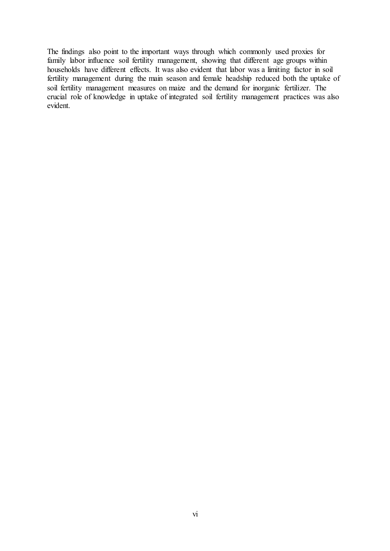The findings also point to the important ways through which commonly used proxies for family labor influence soil fertility management, showing that different age groups within households have different effects. It was also evident that labor was a limiting factor in soil fertility management during the main season and female headship reduced both the uptake of soil fertility management measures on maize and the demand for inorganic fertilizer. The crucial role of knowledge in uptake of integrated soil fertility management practices was also evident.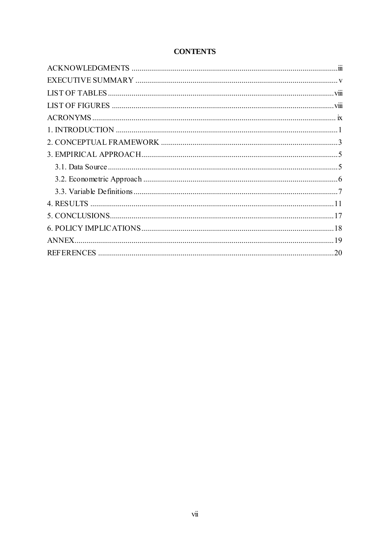## **CONTENTS**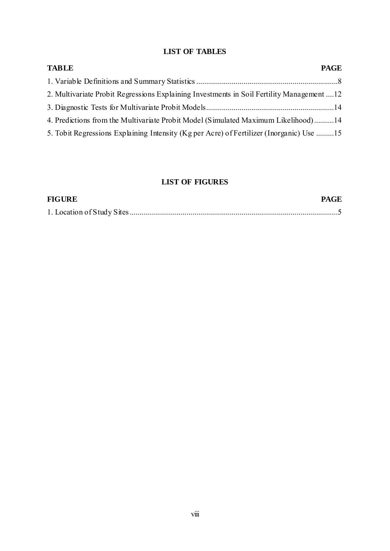## **LIST OF TABLES**

| <b>TABLE</b>                                                                              | <b>PAGE</b> |
|-------------------------------------------------------------------------------------------|-------------|
|                                                                                           |             |
| 2. Multivariate Probit Regressions Explaining Investments in Soil Fertility Management 12 |             |
|                                                                                           |             |
| 4. Predictions from the Multivariate Probit Model (Simulated Maximum Likelihood)14        |             |
| 5. Tobit Regressions Explaining Intensity (Kg per Acre) of Fertilizer (Inorganic) Use 15  |             |

## **LIST OF FIGURES**

| <b>FIGURE</b> | <b>PAGE</b> |
|---------------|-------------|
|               |             |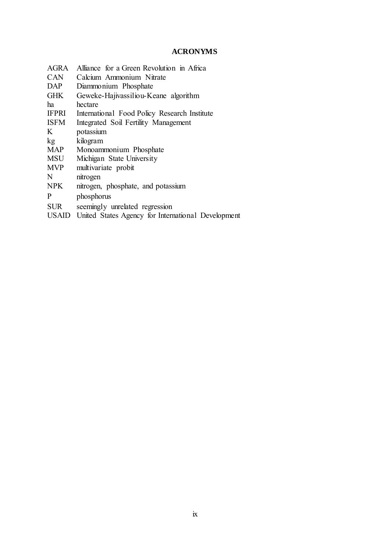## **ACRONYMS**

| AGRA         | Alliance for a Green Revolution in Africa          |
|--------------|----------------------------------------------------|
| <b>CAN</b>   | Calcium Ammonium Nitrate                           |
| DAP          | Diammonium Phosphate                               |
| <b>GHK</b>   | Geweke-Hajivassiliou-Keane algorithm               |
| ha           | hectare                                            |
| <b>IFPRI</b> | International Food Policy Research Institute       |
| <b>ISFM</b>  | Integrated Soil Fertility Management               |
| K            | potassium                                          |
| kg           | kilogram                                           |
| <b>MAP</b>   | Monoammonium Phosphate                             |
| <b>MSU</b>   | Michigan State University                          |
| <b>MVP</b>   | multivariate probit                                |
| N            | nitrogen                                           |
| <b>NPK</b>   | nitrogen, phosphate, and potassium                 |
| P            | phosphorus                                         |
| <b>SUR</b>   | seemingly unrelated regression                     |
| USAID        | United States Agency for International Development |
|              |                                                    |
|              |                                                    |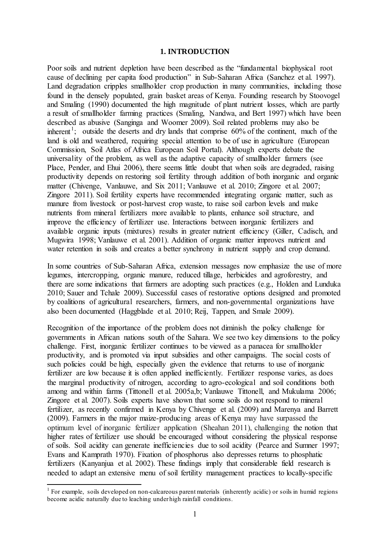#### **1. INTRODUCTION**

Poor soils and nutrient depletion have been described as the "fundamental biophysical root cause of declining per capita food production" in Sub-Saharan Africa (Sanchez et al. 1997). Land degradation cripples smallholder crop production in many communities, including those found in the densely populated, grain basket areas of Kenya. Founding research by Stoovogel and Smaling (1990) documented the high magnitude of plant nutrient losses, which are partly a result of smallholder farming practices (Smaling, Nandwa, and Bert 1997) which have been described as abusive (Sanginga and Woomer 2009). Soil related problems may also be inherent<sup>[1](#page-12-0)</sup>; outside the deserts and dry lands that comprise  $60\%$  of the continent, much of the land is old and weathered, requiring special attention to be of use in agriculture (European Commission, Soil Atlas of Africa European Soil Portal). Although experts debate the universality of the problem, as well as the adaptive capacity of smallholder farmers (see Place, Pender, and Ehui 2006), there seems little doubt that when soils are degraded, raising productivity depends on restoring soil fertility through addition of both inorganic and organic matter (Chivenge, Vanlauwe, and Six 2011; Vanlauwe et al. 2010; Zingore et al. 2007; Zingore 2011). Soil fertility experts have recommended integrating organic matter, such as manure from livestock or post-harvest crop waste, to raise soil carbon levels and make nutrients from mineral fertilizers more available to plants, enhance soil structure, and improve the efficiency of fertilizer use. Interactions between inorganic fertilizers and available organic inputs (mixtures) results in greater nutrient efficiency (Giller, Cadisch, and Mugwira 1998; Vanlauwe et al. 2001). Addition of organic matter improves nutrient and water retention in soils and creates a better synchrony in nutrient supply and crop demand.

In some countries of Sub-Saharan Africa, extension messages now emphasize the use of more legumes, intercropping, organic manure, reduced tillage, herbicides and agroforestry, and there are some indications that farmers are adopting such practices (e.g., Holden and Lunduka 2010; Sauer and Tchale 2009). Successful cases of restorative options designed and promoted by coalitions of agricultural researchers, farmers, and non-governmental organizations have also been documented (Haggblade et al. 2010; Reij, Tappen, and Smale 2009).

Recognition of the importance of the problem does not diminish the policy challenge for governments in African nations south of the Sahara. We see two key dimensions to the policy challenge. First, inorganic fertilizer continues to be viewed as a panacea for smallholder productivity, and is promoted via input subsidies and other campaigns. The social costs of such policies could be high, especially given the evidence that returns to use of inorganic fertilizer are low because it is often applied inefficiently. Fertilizer response varies, as does the marginal productivity of nitrogen, according to agro-ecological and soil conditions both among and within farms (Tittonell et al. 2005a,b; Vanlauwe Tittonell, and Mukulama 2006; Zingore et al. 2007). Soils experts have shown that some soils do not respond to mineral fertilizer, as recently confirmed in Kenya by Chivenge et al. (2009) and Marenya and Barrett (2009). Farmers in the major maize-producing areas of Kenya may have surpassed the optimum level of inorganic fertilizer application (Sheahan 2011), challenging the notion that higher rates of fertilizer use should be encouraged without considering the physical response of soils. Soil acidity can generate inefficiencies due to soil acidity (Pearce and Sumner 1997; Evans and Kamprath 1970). Fixation of phosphorus also depresses returns to phosphatic fertilizers (Kanyanjua et al. 2002). These findings imply that considerable field research is needed to adapt an extensive menu of soil fertility management practices to locally-specific

<span id="page-12-0"></span><sup>&</sup>lt;sup>1</sup> For example, soils developed on non-calcareous parent materials (inherently acidic) or soils in humid regions become acidic naturally due to leaching under high rainfall conditions.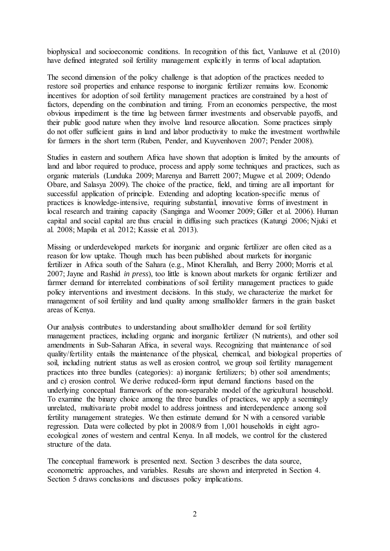biophysical and socioeconomic conditions. In recognition of this fact, Vanlauwe et al. (2010) have defined integrated soil fertility management explicitly in terms of local adaptation.

The second dimension of the policy challenge is that adoption of the practices needed to restore soil properties and enhance response to inorganic fertilizer remains low. Economic incentives for adoption of soil fertility management practices are constrained by a host of factors, depending on the combination and timing. From an economics perspective, the most obvious impediment is the time lag between farmer investments and observable payoffs, and their public good nature when they involve land resource allocation. Some practices simply do not offer sufficient gains in land and labor productivity to make the investment worthwhile for farmers in the short term (Ruben, Pender, and Kuyvenhoven 2007; Pender 2008).

Studies in eastern and southern Africa have shown that adoption is limited by the amounts of land and labor required to produce, process and apply some techniques and practices, such as organic materials (Lunduka 2009; Marenya and Barrett 2007; Mugwe et al. 2009; Odendo Obare, and Salasya 2009). The choice of the practice, field, and timing are all important for successful application of principle. Extending and adopting location-specific menus of practices is knowledge-intensive, requiring substantial, innovative forms of investment in local research and training capacity (Sanginga and Woomer 2009; Giller et al. 2006). Human capital and social capital are thus crucial in diffusing such practices (Katungi 2006; Njuki et al. 2008; Mapila et al. 2012; Kassie et al. 2013).

Missing or underdeveloped markets for inorganic and organic fertilizer are often cited as a reason for low uptake. Though much has been published about markets for inorganic fertilizer in Africa south of the Sahara (e.g., Minot Kherallah, and Berry 2000; Morris et al. 2007; Jayne and Rashid *in press*), too little is known about markets for organic fertilizer and farmer demand for interrelated combinations of soil fertility management practices to guide policy interventions and investment decisions. In this study, we characterize the market for management of soil fertility and land quality among smallholder farmers in the grain basket areas of Kenya.

Our analysis contributes to understanding about smallholder demand for soil fertility management practices, including organic and inorganic fertilizer (N nutrients), and other soil amendments in Sub-Saharan Africa, in several ways. Recognizing that maintenance of soil quality/fertility entails the maintenance of the physical, chemical, and biological properties of soil, including nutrient status as well as erosion control, we group soil fertility management practices into three bundles (categories): a) inorganic fertilizers; b) other soil amendments; and c) erosion control. We derive reduced-form input demand functions based on the underlying conceptual framework of the non-separable model of the agricultural household. To examine the binary choice among the three bundles of practices, we apply a seemingly unrelated, multivariate probit model to address jointness and interdependence among soil fertility management strategies. We then estimate demand for N with a censored variable regression. Data were collected by plot in 2008/9 from 1,001 households in eight agroecological zones of western and central Kenya. In all models, we control for the clustered structure of the data.

The conceptual framework is presented next. Section 3 describes the data source, econometric approaches, and variables. Results are shown and interpreted in Section 4. Section 5 draws conclusions and discusses policy implications.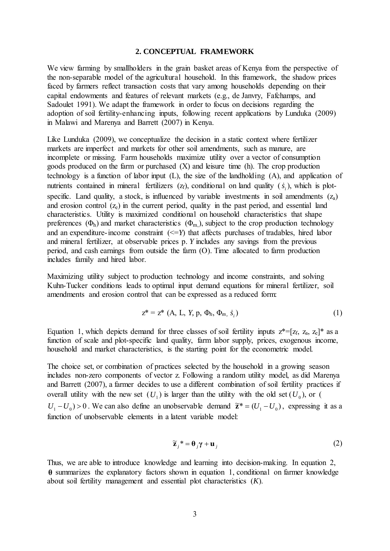#### **2. CONCEPTUAL FRAMEWORK**

We view farming by smallholders in the grain basket areas of Kenya from the perspective of the non-separable model of the agricultural household. In this framework, the shadow prices faced by farmers reflect transaction costs that vary among households depending on their capital endowments and features of relevant markets (e.g., de Janvry, Fafchamps, and Sadoulet 1991). We adapt the framework in order to focus on decisions regarding the adoption of soil fertility-enhancing inputs, following recent applications by Lunduka (2009) in Malawi and Marenya and Barrett (2007) in Kenya.

Like Lunduka (2009), we conceptualize the decision in a static context where fertilizer markets are imperfect and markets for other soil amendments, such as manure, are incomplete or missing. Farm households maximize utility over a vector of consumption goods produced on the farm or purchased (X) and leisure time (h). The crop production technology is a function of labor input (L), the size of the landholding (A), and application of nutrients contained in mineral fertilizers  $(z_f)$ , conditional on land quality  $(\dot{s}_i)$ , which is plotspecific. Land quality, a stock, is influenced by variable investments in soil amendments  $(z_a)$ and erosion control  $(z_e)$  in the current period, quality in the past period, and essential land characteristics. Utility is maximized conditional on household characteristics that shape preferences  $(\Phi_h)$  and market characteristics  $(\Phi_m)$ , subject to the crop production technology and an expenditure-income constraint  $\ll = Y$ ) that affects purchases of tradables, hired labor and mineral fertilizer, at observable prices p. *Y* includes any savings from the previous period, and cash earnings from outside the farm (O). Time allocated to farm production includes family and hired labor.

Maximizing utility subject to production technology and income constraints, and solving Kuhn-Tucker conditions leads to optimal input demand equations for mineral fertilizer, soil amendments and erosion control that can be expressed as a reduced form:

$$
z^* = z^* (A, L, Y, p, \Phi_h, \Phi_m, \dot{s}_i)
$$
 (1)

Equation 1, which depicts demand for three classes of soil fertility inputs  $z^*=[z_f, z_a, z_e]^*$  as a function of scale and plot-specific land quality, farm labor supply, prices, exogenous income, household and market characteristics, is the starting point for the econometric model.

The choice set, or combination of practices selected by the household in a growing season includes non-zero components of vector z. Following a random utility model, as did Marenya and Barrett (2007), a farmer decides to use a different combination of soil fertility practices if overall utility with the new set  $(U_1)$  is larger than the utility with the old set  $(U_0)$ , or (  $U_1 - U_0$  > 0. We can also define an unobservable demand  $\tilde{\mathbf{z}}^* = (U_1 - U_0)$ , expressing it as a function of unobservable elements in a latent variable model:

$$
\widetilde{\mathbf{z}}_j^* = \mathbf{\theta}_j \gamma + \mathbf{u}_j \tag{2}
$$

Thus, we are able to introduce knowledge and learning into decision-making. In equation 2, **θ** summarizes the explanatory factors shown in equation 1, conditional on farmer knowledge about soil fertility management and essential plot characteristics (*K*).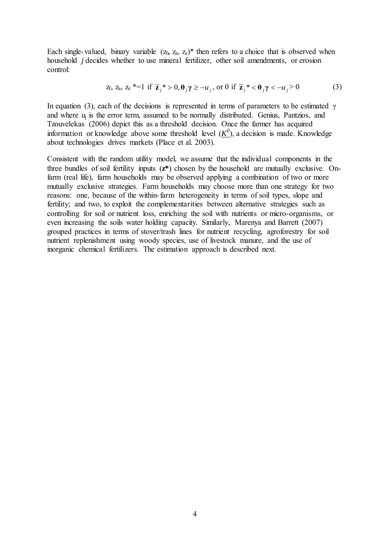Each single-valued, binary variable  $(z_f, z_a, z_e)^*$  then refers to a choice that is observed when household *j* decides whether to use mineral fertilizer, other soil amendments, or erosion control:

$$
z_f, z_a, z_e \stackrel{*}{=} 1 \text{ if } \widetilde{z}_j \stackrel{*}{\sim} 0, \theta_j \gamma \ge -u_j, \text{ or } 0 \text{ if } \widetilde{z}_j \stackrel{*}{\sim} \theta_j \gamma < -u_j > 0 \tag{3}
$$

In equation (3), each of the decisions is represented in terms of parameters to be estimated γ and where uj is the error term, assumed to be normally distributed. Genius, Pantzios, and Tzouvelekas (2006) depict this as a threshold decision. Once the farmer has acquired information or knowledge above some threshold level  $(\underline{K}^0)$ , a decision is made. Knowledge about technologies drives markets (Place et al. 2003).

Consistent with the random utility model, we assume that the individual components in the three bundles of soil fertility inputs (**z\***) chosen by the household are mutually exclusive. Onfarm (real life), farm households may be observed applying a combination of two or more mutually exclusive strategies. Farm households may choose more than one strategy for two reasons: one, because of the within-farm heterogeneity in terms of soil types, slope and fertility; and two, to exploit the complementarities between alternative strategies such as controlling for soil or nutrient loss, enriching the soil with nutrients or micro-organisms, or even increasing the soils water holding capacity. Similarly, Marenya and Barrett (2007) grouped practices in terms of stover/trash lines for nutrient recycling, agroforestry for soil nutrient replenishment using woody species, use of livestock manure, and the use of inorganic chemical fertilizers. The estimation approach is described next.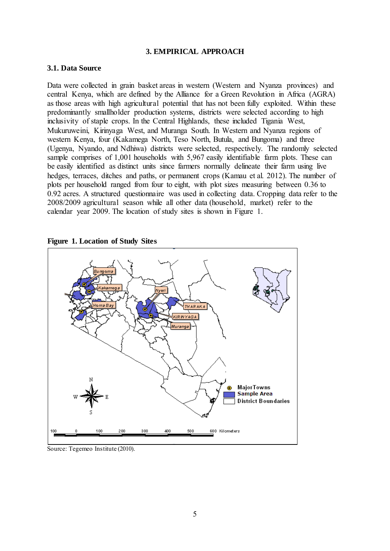#### **3. EMPIRICAL APPROACH**

#### **3.1. Data Source**

Data were collected in grain basket areas in western (Western and Nyanza provinces) and central Kenya, which are defined by the Alliance for a Green Revolution in Africa (AGRA) as those areas with high agricultural potential that has not been fully exploited. Within these predominantly smallholder production systems, districts were selected according to high inclusivity of staple crops. In the Central Highlands, these included Tigania West, Mukuruweini, Kirinyaga West, and Muranga South. In Western and Nyanza regions of western Kenya, four (Kakamega North, Teso North, Butula, and Bungoma) and three (Ugenya, Nyando, and Ndhiwa) districts were selected, respectively. The randomly selected sample comprises of 1,001 households with 5,967 easily identifiable farm plots. These can be easily identified as distinct units since farmers normally delineate their farm using live hedges, terraces, ditches and paths, or permanent crops (Kamau et al. 2012). The number of plots per household ranged from four to eight, with plot sizes measuring between 0.36 to 0.92 acres. A structured questionnaire was used in collecting data. Cropping data refer to the 2008/2009 agricultural season while all other data (household, market) refer to the calendar year 2009. The location of study sites is shown in Figure 1.





Source: Tegemeo Institute (2010).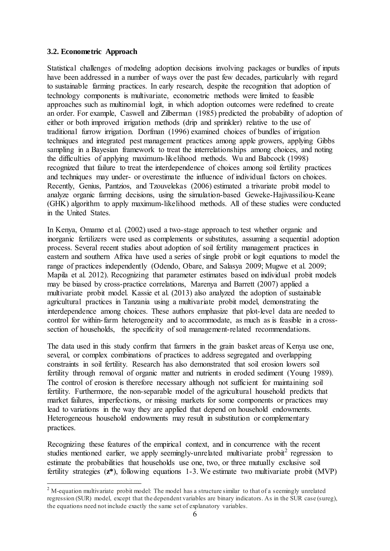### **3.2. Econometric Approach**

Statistical challenges of modeling adoption decisions involving packages or bundles of inputs have been addressed in a number of ways over the past few decades, particularly with regard to sustainable farming practices. In early research, despite the recognition that adoption of technology components is multivariate, econometric methods were limited to feasible approaches such as multinomial logit, in which adoption outcomes were redefined to create an order. For example, Caswell and Zilberman (1985) predicted the probability of adoption of either or both improved irrigation methods (drip and sprinkler) relative to the use of traditional furrow irrigation. Dorfman (1996) examined choices of bundles of irrigation techniques and integrated pest management practices among apple growers, applying Gibbs sampling in a Bayesian framework to treat the interrelationships among choices, and noting the difficulties of applying maximum-likelihood methods. Wu and Babcock (1998) recognized that failure to treat the interdependence of choices among soil fertility practices and techniques may under- or overestimate the influence of individual factors on choices. Recently, Genius, Pantzios, and Tzouvelekas (2006) estimated a trivariate probit model to analyze organic farming decisions, using the simulation-based Geweke-Hajivassiliou-Keane (GHK) algorithm to apply maximum-likelihood methods. All of these studies were conducted in the United States.

In Kenya, Omamo et al. (2002) used a two-stage approach to test whether organic and inorganic fertilizers were used as complements or substitutes, assuming a sequential adoption process. Several recent studies about adoption of soil fertility management practices in eastern and southern Africa have used a series of single probit or logit equations to model the range of practices independently (Odendo, Obare, and Salasya 2009; Mugwe et al. 2009; Mapila et al. 2012). Recognizing that parameter estimates based on individual probit models may be biased by cross-practice correlations, Marenya and Barrett (2007) applied a multivariate probit model. Kassie et al. (2013) also analyzed the adoption of sustainable agricultural practices in Tanzania using a multivariate probit model, demonstrating the interdependence among choices. These authors emphasize that plot-level data are needed to control for within-farm heterogeneity and to accommodate, as much as is feasible in a crosssection of households, the specificity of soil management-related recommendations.

The data used in this study confirm that farmers in the grain basket areas of Kenya use one, several, or complex combinations of practices to address segregated and overlapping constraints in soil fertility. Research has also demonstrated that soil erosion lowers soil fertility through removal of organic matter and nutrients in eroded sediment (Young 1989). The control of erosion is therefore necessary although not sufficient for maintaining soil fertility. Furthermore, the non-separable model of the agricultural household predicts that market failures, imperfections, or missing markets for some components or practices may lead to variations in the way they are applied that depend on household endowments. Heterogeneous household endowments may result in substitution or complementary practices.

Recognizing these features of the empirical context, and in concurrence with the recent studies mentioned earlier, we apply seemingly-unrelated multivariate probit<sup>[2](#page-17-0)</sup> regression to estimate the probabilities that households use one, two, or three mutually exclusive soil fertility strategies (**z\***), following equations 1-3. We estimate two multivariate probit (MVP)

<span id="page-17-0"></span><sup>&</sup>lt;sup>2</sup> M-equation multivariate probit model: The model has a structure similar to that of a seemingly unrelated regression (SUR) model, except that the dependent variables are binary indicators. As in the SUR case (sureg), the equations need not include exactly the same set of explanatory variables.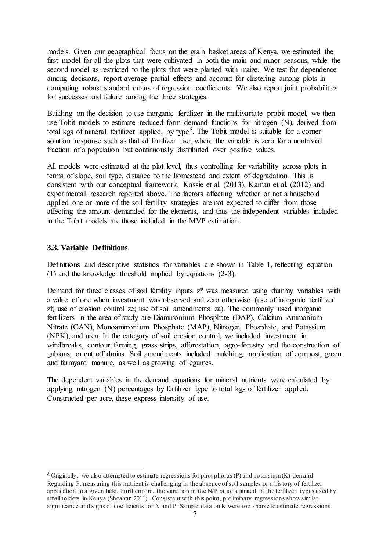models. Given our geographical focus on the grain basket areas of Kenya, we estimated the first model for all the plots that were cultivated in both the main and minor seasons, while the second model as restricted to the plots that were planted with maize. We test for dependence among decisions, report average partial effects and account for clustering among plots in computing robust standard errors of regression coefficients. We also report joint probabilities for successes and failure among the three strategies.

Building on the decision to use inorganic fertilizer in the multivariate probit model, we then use Tobit models to estimate reduced-form demand functions for nitrogen (N), derived from total kgs of mineral fertilizer applied, by type<sup>[3](#page-18-0)</sup>. The Tobit model is suitable for a corner solution response such as that of fertilizer use, where the variable is zero for a nontrivial fraction of a population but continuously distributed over positive values.

All models were estimated at the plot level, thus controlling for variability across plots in terms of slope, soil type, distance to the homestead and extent of degradation. This is consistent with our conceptual framework, Kassie et al. (2013), Kamau et al. (2012) and experimental research reported above. The factors affecting whether or not a household applied one or more of the soil fertility strategies are not expected to differ from those affecting the amount demanded for the elements, and thus the independent variables included in the Tobit models are those included in the MVP estimation.

#### **3.3. Variable Definitions**

Definitions and descriptive statistics for variables are shown in Table 1, reflecting equation (1) and the knowledge threshold implied by equations (2-3).

Demand for three classes of soil fertility inputs  $z^*$  was measured using dummy variables with a value of one when investment was observed and zero otherwise (use of inorganic fertilizer zf; use of erosion control ze; use of soil amendments za). The commonly used inorganic fertilizers in the area of study are Diammonium Phosphate (DAP), Calcium Ammonium Nitrate (CAN), Monoammonium Phosphate (MAP), Nitrogen, Phosphate, and Potassium (NPK), and urea. In the category of soil erosion control, we included investment in windbreaks, contour farming, grass strips, afforestation, agro-forestry and the construction of gabions, or cut off drains. Soil amendments included mulching; application of compost, green and farmyard manure, as well as growing of legumes.

The dependent variables in the demand equations for mineral nutrients were calculated by applying nitrogen (N) percentages by fertilizer type to total kgs of fertilizer applied. Constructed per acre, these express intensity of use.

<span id="page-18-0"></span> $3$  Originally, we also attempted to estimate regressions for phosphorus (P) and potassium (K) demand. Regarding P, measuring this nutrient is challenging in the absence of soil samples or a history of fertilizer application to a given field. Furthermore, the variation in the N/P ratio is limited in the fertilizer types used by smallholders in Kenya (Sheahan 2011). Consistent with this point, preliminary regressions show similar significance and signs of coefficients for N and P. Sample data on K were too sparse to estimate regressions.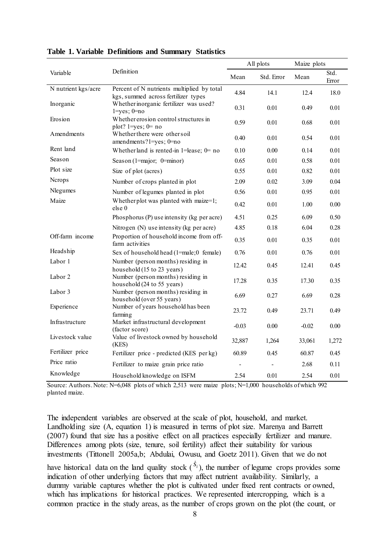|                     | Definition                                                                        | All plots |            | Maize plots |               |
|---------------------|-----------------------------------------------------------------------------------|-----------|------------|-------------|---------------|
| Variable            |                                                                                   | Mean      | Std. Error | Mean        | Std.<br>Error |
| N nutrient kgs/acre | Percent of N nutrients multiplied by total<br>kgs, summed across fertilizer types | 4.84      | 14.1       | 12.4        | 18.0          |
| Inorganic           | Whether inorganic fertilizer was used?<br>$1 = yes$ ; $0 = no$                    | 0.31      | 0.01       | 0.49        | 0.01          |
| Erosion             | Whether erosion control structures in<br>plot? $1 = yes$ ; $0 = no$               | 0.59      | 0.01       | 0.68        | 0.01          |
| Amendments          | Whether there were other soil<br>amendments?1=yes; 0=no                           | 0.40      | 0.01       | 0.54        | 0.01          |
| Rent land           | Whether land is rented-in 1=lease; $0=$ no                                        | 0.10      | 0.00       | 0.14        | 0.01          |
| Season              | Season (1=major; $0$ =minor)                                                      | 0.65      | 0.01       | 0.58        | 0.01          |
| Plot size           | Size of plot (acres)                                                              | 0.55      | 0.01       | 0.82        | 0.01          |
| Ncrops              | Number of crops planted in plot                                                   | 2.09      | 0.02       | 3.09        | 0.04          |
| Nlegumes            | Number of legumes planted in plot                                                 | 0.56      | 0.01       | 0.95        | 0.01          |
| Maize               | Whether plot was planted with maize=1;<br>else 0                                  | 0.42      | 0.01       | 1.00        | 0.00          |
|                     | Phosphorus (P) use intensity (kg per acre)                                        | 4.51      | 0.25       | 6.09        | 0.50          |
|                     | Nitrogen (N) use intensity (kg per acre)                                          | 4.85      | 0.18       | 6.04        | 0.28          |
| Off-farm income     | Proportion of household income from off-<br>farm activities                       | 0.35      | 0.01       | 0.35        | 0.01          |
| Headship            | Sex of household head (1=male;0 female)                                           | 0.76      | 0.01       | 0.76        | 0.01          |
| Labor 1             | Number (person months) residing in<br>household (15 to 23 years)                  | 12.42     | 0.45       | 12.41       | 0.45          |
| Labor 2             | Number (person months) residing in<br>household (24 to 55 years)                  | 17.28     | 0.35       | 17.30       | 0.35          |
| Labor 3             | Number (person months) residing in<br>household (over 55 years)                   | 6.69      | 0.27       | 6.69        | 0.28          |
| Experience          | Number of years household has been<br>farming                                     | 23.72     | 0.49       | 23.71       | 0.49          |
| Infrastructure      | Market infrastructural development<br>(factor score)                              | $-0.03$   | 0.00       | $-0.02$     | 0.00          |
| Livestock value     | Value of livestock owned by household<br>(KES)                                    | 32,887    | 1,264      | 33,061      | 1,272         |
| Fertilizer price    | Fertilizer price - predicted (KES per kg)                                         | 60.89     | 0.45       | 60.87       | 0.45          |
| Price ratio         | Fertilizer to maize grain price ratio                                             |           |            | 2.68        | 0.11          |
| Knowledge           | Household knowledge on ISFM                                                       | 2.54      | 0.01       | 2.54        | 0.01          |

#### **Table 1. Variable Definitions and Summary Statistics**

Source: Authors.Note: N=6,048 plots of which 2,513 were maize plots; N=1,000 households of which 992 planted maize.

The independent variables are observed at the scale of plot, household, and market. Landholding size (A, equation 1) is measured in terms of plot size. Marenya and Barrett (2007) found that size has a positive effect on all practices especially fertilizer and manure. Differences among plots (size, tenure, soil fertility) affect their suitability for various investments (Tittonell 2005a,b; Abdulai, Owusu, and Goetz 2011). Given that we do not have historical data on the land quality stock  $(s_i)$ , the number of legume crops provides some indication of other underlying factors that may affect nutrient availability. Similarly, a dummy variable captures whether the plot is cultivated under fixed rent contracts or owned, which has implications for historical practices. We represented intercropping, which is a common practice in the study areas, as the number of crops grown on the plot (the count, or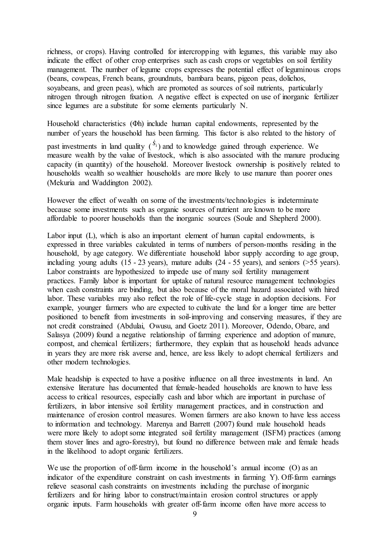richness, or crops). Having controlled for intercropping with legumes, this variable may also indicate the effect of other crop enterprises such as cash crops or vegetables on soil fertility management. The number of legume crops expresses the potential effect of leguminous crops (beans, cowpeas, French beans, groundnuts, bambara beans, pigeon peas, dolichos, soyabeans, and green peas), which are promoted as sources of soil nutrients, particularly nitrogen through nitrogen fixation. A negative effect is expected on use of inorganic fertilizer since legumes are a substitute for some elements particularly N.

Household characteristics (Φh) include human capital endowments, represented by the number of years the household has been farming. This factor is also related to the history of

past investments in land quality  $\binom{S_i}{s}$  and to knowledge gained through experience. We measure wealth by the value of livestock, which is also associated with the manure producing capacity (in quantity) of the household. Moreover livestock ownership is positively related to households wealth so wealthier households are more likely to use manure than poorer ones (Mekuria and Waddington 2002).

However the effect of wealth on some of the investments/technologies is indeterminate because some investments such as organic sources of nutrient are known to be more affordable to poorer households than the inorganic sources (Soule and Shepherd 2000).

Labor input (L), which is also an important element of human capital endowments, is expressed in three variables calculated in terms of numbers of person-months residing in the household, by age category. We differentiate household labor supply according to age group, including young adults (15 - 23 years), mature adults (24 - 55 years), and seniors (>55 years). Labor constraints are hypothesized to impede use of many soil fertility management practices. Family labor is important for uptake of natural resource management technologies when cash constraints are binding, but also because of the moral hazard associated with hired labor. These variables may also reflect the role of life-cycle stage in adoption decisions. For example, younger farmers who are expected to cultivate the land for a longer time are better positioned to benefit from investments in soil-improving and conserving measures, if they are not credit constrained (Abdulai, Owusu, and Goetz 2011). Moreover, Odendo, Obare, and Salasya (2009) found a negative relationship of farming experience and adoption of manure, compost, and chemical fertilizers; furthermore, they explain that as household heads advance in years they are more risk averse and, hence, are less likely to adopt chemical fertilizers and other modern technologies.

Male headship is expected to have a positive influence on all three investments in land. An extensive literature has documented that female-headed households are known to have less access to critical resources, especially cash and labor which are important in purchase of fertilizers, in labor intensive soil fertility management practices, and in construction and maintenance of erosion control measures. Women farmers are also known to have less access to information and technology. Marenya and Barrett (2007) found male household heads were more likely to adopt some integrated soil fertility management (ISFM) practices (among them stover lines and agro-forestry), but found no difference between male and female heads in the likelihood to adopt organic fertilizers.

We use the proportion of off-farm income in the household's annual income (O) as an indicator of the expenditure constraint on cash investments in farming Y). Off-farm earnings relieve seasonal cash constraints on investments including the purchase of inorganic fertilizers and for hiring labor to construct/maintain erosion control structures or apply organic inputs. Farm households with greater off-farm income often have more access to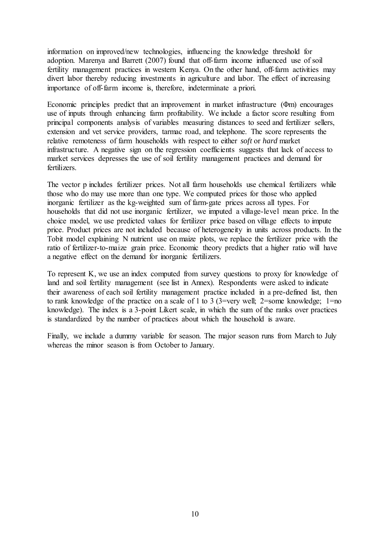information on improved/new technologies, influencing the knowledge threshold for adoption. Marenya and Barrett (2007) found that off-farm income influenced use of soil fertility management practices in western Kenya. On the other hand, off-farm activities may divert labor thereby reducing investments in agriculture and labor. The effect of increasing importance of off-farm income is, therefore, indeterminate a priori.

Economic principles predict that an improvement in market infrastructure (Φm) encourages use of inputs through enhancing farm profitability. We include a factor score resulting from principal components analysis of variables measuring distances to seed and fertilizer sellers, extension and vet service providers, tarmac road, and telephone. The score represents the relative remoteness of farm households with respect to either *soft* or *hard* market infrastructure. A negative sign on the regression coefficients suggests that lack of access to market services depresses the use of soil fertility management practices and demand for fertilizers.

The vector p includes fertilizer prices. Not all farm households use chemical fertilizers while those who do may use more than one type. We computed prices for those who applied inorganic fertilizer as the kg-weighted sum of farm-gate prices across all types. For households that did not use inorganic fertilizer, we imputed a village-level mean price. In the choice model, we use predicted values for fertilizer price based on village effects to impute price. Product prices are not included because of heterogeneity in units across products. In the Tobit model explaining N nutrient use on maize plots, we replace the fertilizer price with the ratio of fertilizer-to-maize grain price. Economic theory predicts that a higher ratio will have a negative effect on the demand for inorganic fertilizers.

To represent K, we use an index computed from survey questions to proxy for knowledge of land and soil fertility management (see list in Annex). Respondents were asked to indicate their awareness of each soil fertility management practice included in a pre-defined list, then to rank knowledge of the practice on a scale of 1 to 3 (3=very well; 2=some knowledge; 1=no knowledge). The index is a 3-point Likert scale, in which the sum of the ranks over practices is standardized by the number of practices about which the household is aware.

Finally, we include a dummy variable for season. The major season runs from March to July whereas the minor season is from October to January.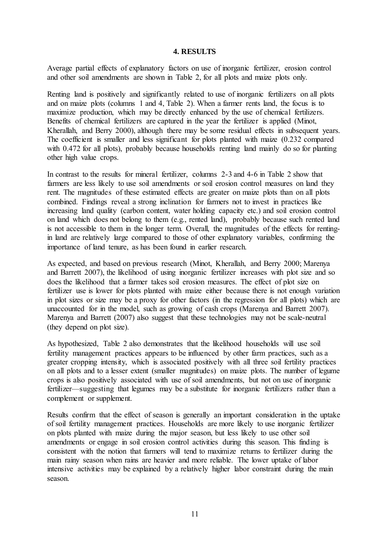#### **4. RESULTS**

Average partial effects of explanatory factors on use of inorganic fertilizer, erosion control and other soil amendments are shown in Table 2, for all plots and maize plots only.

Renting land is positively and significantly related to use of inorganic fertilizers on all plots and on maize plots (columns 1 and 4, Table 2). When a farmer rents land, the focus is to maximize production, which may be directly enhanced by the use of chemical fertilizers. Benefits of chemical fertilizers are captured in the year the fertilizer is applied (Minot, Kherallah, and Berry 2000), although there may be some residual effects in subsequent years. The coefficient is smaller and less significant for plots planted with maize (0.232 compared with 0.472 for all plots), probably because households renting land mainly do so for planting other high value crops.

In contrast to the results for mineral fertilizer, columns 2-3 and 4-6 in Table 2 show that farmers are less likely to use soil amendments or soil erosion control measures on land they rent. The magnitudes of these estimated effects are greater on maize plots than on all plots combined. Findings reveal a strong inclination for farmers not to invest in practices like increasing land quality (carbon content, water holding capacity etc.) and soil erosion control on land which does not belong to them (e.g., rented land), probably because such rented land is not accessible to them in the longer term. Overall, the magnitudes of the effects for rentingin land are relatively large compared to those of other explanatory variables, confirming the importance of land tenure, as has been found in earlier research.

As expected, and based on previous research (Minot, Kherallah, and Berry 2000; Marenya and Barrett 2007), the likelihood of using inorganic fertilizer increases with plot size and so does the likelihood that a farmer takes soil erosion measures. The effect of plot size on fertilizer use is lower for plots planted with maize either because there is not enough variation in plot sizes or size may be a proxy for other factors (in the regression for all plots) which are unaccounted for in the model, such as growing of cash crops (Marenya and Barrett 2007). Marenya and Barrett (2007) also suggest that these technologies may not be scale-neutral (they depend on plot size).

As hypothesized, Table 2 also demonstrates that the likelihood households will use soil fertility management practices appears to be influenced by other farm practices, such as a greater cropping intensity, which is associated positively with all three soil fertility practices on all plots and to a lesser extent (smaller magnitudes) on maize plots. The number of legume crops is also positively associated with use of soil amendments, but not on use of inorganic fertilizer—suggesting that legumes may be a substitute for inorganic fertilizers rather than a complement or supplement.

Results confirm that the effect of season is generally an important consideration in the uptake of soil fertility management practices. Households are more likely to use inorganic fertilizer on plots planted with maize during the major season, but less likely to use other soil amendments or engage in soil erosion control activities during this season. This finding is consistent with the notion that farmers will tend to maximize returns to fertilizer during the main rainy season when rains are heavier and more reliable. The lower uptake of labor intensive activities may be explained by a relatively higher labor constraint during the main season.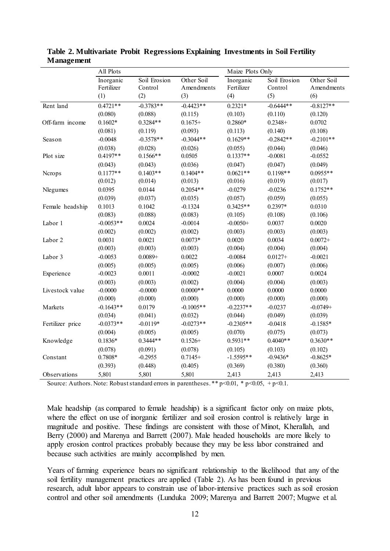|                  | All Plots                      |                                | Maize Plots Only                |                                |                                |                                 |
|------------------|--------------------------------|--------------------------------|---------------------------------|--------------------------------|--------------------------------|---------------------------------|
|                  | Inorganic<br>Fertilizer<br>(1) | Soil Erosion<br>Control<br>(2) | Other Soil<br>Amendments<br>(3) | Inorganic<br>Fertilizer<br>(4) | Soil Erosion<br>Control<br>(5) | Other Soil<br>Amendments<br>(6) |
| Rent land        | $0.4721**$                     | $-0.3783**$                    | $-0.4423**$                     | $0.2321*$                      | $-0.6444**$                    | $-0.8127**$                     |
|                  | (0.080)                        | (0.088)                        | (0.115)                         | (0.103)                        | (0.110)                        | (0.120)                         |
| Off-farm income  | $0.1602*$                      | $0.3284**$                     | $0.1675+$                       | $0.2860*$                      | $0.2348+$                      | 0.0702                          |
|                  | (0.081)                        | (0.119)                        | (0.093)                         | (0.113)                        | (0.140)                        | (0.108)                         |
| Season           | $-0.0048$                      | $-0.3578**$                    | $-0.3044**$                     | $0.1629**$                     | $-0.2842**$                    | $-0.2101**$                     |
|                  | (0.038)                        | (0.028)                        | (0.026)                         | (0.055)                        | (0.044)                        | (0.046)                         |
| Plot size        | $0.4197**$                     | $0.1566**$                     | 0.0505                          | $0.1337**$                     | $-0.0081$                      | $-0.0552$                       |
|                  | (0.043)                        | (0.043)                        | (0.036)                         | (0.047)                        | (0.047)                        | (0.049)                         |
| Ncrops           | $0.1177**$                     | $0.1403**$                     | $0.1404**$                      | $0.0621**$                     | $0.1198**$                     | $0.0955**$                      |
|                  | (0.012)                        | (0.014)                        | (0.013)                         | (0.016)                        | (0.019)                        | (0.017)                         |
| Nlegumes         | 0.0395                         | 0.0144                         | $0.2054**$                      | $-0.0279$                      | $-0.0236$                      | $0.1752**$                      |
|                  | (0.039)                        | (0.037)                        | (0.035)                         | (0.057)                        | (0.059)                        | (0.055)                         |
| Female headship  | 0.1013                         | 0.1042                         | $-0.1324$                       | $0.3425**$                     | $0.2397*$                      | 0.0310                          |
|                  | (0.083)                        | (0.088)                        | (0.083)                         | (0.105)                        | (0.108)                        | (0.106)                         |
| Labor 1          | $-0.0053**$                    | 0.0024                         | $-0.0014$                       | $-0.0050+$                     | 0.0037                         | 0.0020                          |
|                  | (0.002)                        | (0.002)                        | (0.002)                         | (0.003)                        | (0.003)                        | (0.003)                         |
| Labor 2          | 0.0031                         | 0.0021                         | $0.0073*$                       | 0.0020                         | 0.0034                         | $0.0072 +$                      |
|                  | (0.003)                        | (0.003)                        | (0.003)                         | (0.004)                        | (0.004)                        | (0.004)                         |
| Labor 3          | $-0.0053$                      | $0.0089 +$                     | 0.0022                          | $-0.0084$                      | $0.0127 +$                     | $-0.0021$                       |
|                  | (0.005)                        | (0.005)                        | (0.005)                         | (0.006)                        | (0.007)                        | (0.006)                         |
| Experience       | $-0.0023$                      | 0.0011                         | $-0.0002$                       | $-0.0021$                      | 0.0007                         | 0.0024                          |
|                  | (0.003)                        | (0.003)                        | (0.002)                         | (0.004)                        | (0.004)                        | (0.003)                         |
| Livestock value  | $-0.0000$                      | $-0.0000$                      | $0.0000**$                      | 0.0000                         | 0.0000                         | 0.0000                          |
|                  | (0.000)                        | (0.000)                        | (0.000)                         | (0.000)                        | (0.000)                        | (0.000)                         |
| Markets          | $-0.1643**$                    | 0.0179                         | $-0.1005**$                     | $-0.2237**$                    | $-0.0237$                      | $-0.0749+$                      |
|                  | (0.034)                        | (0.041)                        | (0.032)                         | (0.044)                        | (0.049)                        | (0.039)                         |
| Fertilizer price | $-0.0373**$                    | $-0.0119*$                     | $-0.0273**$                     | $-0.2305**$                    | $-0.0418$                      | $-0.1585*$                      |
|                  | (0.004)                        | (0.005)                        | (0.005)                         | (0.070)                        | (0.075)                        | (0.073)                         |
| Knowledge        | $0.1836*$                      | $0.3444**$                     | $0.1526+$                       | $0.5931**$                     | $0.4040**$                     | $0.3630**$                      |
|                  | (0.078)                        | (0.091)                        | (0.078)                         | (0.105)                        | (0.103)                        | (0.102)                         |
| Constant         | 0.7808*                        | $-0.2955$                      | $0.7145+$                       | $-1.5595**$                    | $-0.9436*$                     | $-0.8625*$                      |
|                  | (0.393)                        | (0.448)                        | (0.405)                         | (0.369)                        | (0.380)                        | (0.360)                         |
| Observations     | 5,801                          | 5,801                          | 5,801                           | 2,413                          | 2,413                          | 2,413                           |

**Table 2. Multivariate Probit Regressions Explaining Investments in Soil Fertility Management** 

Source: Authors. Note: Robust standard errors in parentheses. \*\*  $p$  < 0.01, \*  $p$  < 0.05, +  $p$  < 0.1.

Male headship (as compared to female headship) is a significant factor only on maize plots, where the effect on use of inorganic fertilizer and soil erosion control is relatively large in magnitude and positive. These findings are consistent with those of Minot, Kherallah, and Berry (2000) and Marenya and Barrett (2007). Male headed households are more likely to apply erosion control practices probably because they may be less labor constrained and because such activities are mainly accomplished by men.

Years of farming experience bears no significant relationship to the likelihood that any of the soil fertility management practices are applied (Table 2). As has been found in previous research, adult labor appears to constrain use of labor-intensive practices such as soil erosion control and other soil amendments (Lunduka 2009; Marenya and Barrett 2007; Mugwe et al.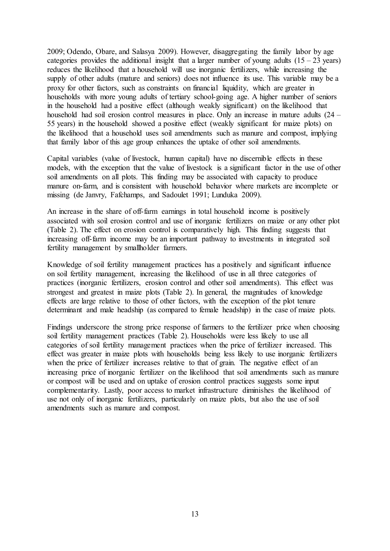2009; Odendo, Obare, and Salasya 2009). However, disaggregating the family labor by age categories provides the additional insight that a larger number of young adults  $(15 - 23 \text{ years})$ reduces the likelihood that a household will use inorganic fertilizers, while increasing the supply of other adults (mature and seniors) does not influence its use. This variable may be a proxy for other factors, such as constraints on financial liquidity, which are greater in households with more young adults of tertiary school-going age. A higher number of seniors in the household had a positive effect (although weakly significant) on the likelihood that household had soil erosion control measures in place. Only an increase in mature adults (24 – 55 years) in the household showed a positive effect (weakly significant for maize plots) on the likelihood that a household uses soil amendments such as manure and compost, implying that family labor of this age group enhances the uptake of other soil amendments.

Capital variables (value of livestock, human capital) have no discernible effects in these models, with the exception that the value of livestock is a significant factor in the use of other soil amendments on all plots. This finding may be associated with capacity to produce manure on-farm, and is consistent with household behavior where markets are incomplete or missing (de Janvry, Fafchamps, and Sadoulet 1991; Lunduka 2009).

An increase in the share of off-farm earnings in total household income is positively associated with soil erosion control and use of inorganic fertilizers on maize or any other plot (Table 2). The effect on erosion control is comparatively high. This finding suggests that increasing off-farm income may be an important pathway to investments in integrated soil fertility management by smallholder farmers.

Knowledge of soil fertility management practices has a positively and significant influence on soil fertility management, increasing the likelihood of use in all three categories of practices (inorganic fertilizers, erosion control and other soil amendments). This effect was strongest and greatest in maize plots (Table 2). In general, the magnitudes of knowledge effects are large relative to those of other factors, with the exception of the plot tenure determinant and male headship (as compared to female headship) in the case of maize plots.

Findings underscore the strong price response of farmers to the fertilizer price when choosing soil fertility management practices (Table 2). Households were less likely to use all categories of soil fertility management practices when the price of fertilizer increased. This effect was greater in maize plots with households being less likely to use inorganic fertilizers when the price of fertilizer increases relative to that of grain. The negative effect of an increasing price of inorganic fertilizer on the likelihood that soil amendments such as manure or compost will be used and on uptake of erosion control practices suggests some input complementarity. Lastly, poor access to market infrastructure diminishes the likelihood of use not only of inorganic fertilizers, particularly on maize plots, but also the use of soil amendments such as manure and compost.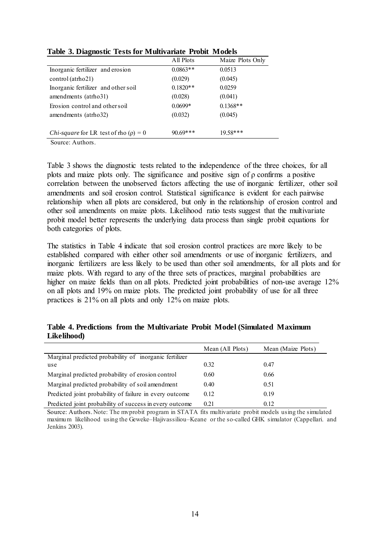|                                                   | All Plots  | Maize Plots Only |
|---------------------------------------------------|------------|------------------|
| Inorganic fertilizer and erosion                  | $0.0863**$ | 0.0513           |
| control (atrho21)                                 | (0.029)    | (0.045)          |
| Inorganic fertilizer and other soil               | $0.1820**$ | 0.0259           |
| amendments (atrho31)                              | (0.028)    | (0.041)          |
| Erosion control and other soil                    | $0.0699*$  | $0.1368**$       |
| amendments (atrho32)                              | (0.032)    | (0.045)          |
|                                                   |            |                  |
| <i>Chi-square</i> for LR test of rho $(\rho) = 0$ | $90.69***$ | $19.58***$       |

**Table 3. Diagnostic Tests for Multivariate Probit Models**

Source: Authors.

Table 3 shows the diagnostic tests related to the independence of the three choices, for all plots and maize plots only. The significance and positive sign of ρ confirms a positive correlation between the unobserved factors affecting the use of inorganic fertilizer, other soil amendments and soil erosion control. Statistical significance is evident for each pairwise relationship when all plots are considered, but only in the relationship of erosion control and other soil amendments on maize plots. Likelihood ratio tests suggest that the multivariate probit model better represents the underlying data process than single probit equations for both categories of plots.

The statistics in Table 4 indicate that soil erosion control practices are more likely to be established compared with either other soil amendments or use of inorganic fertilizers, and inorganic fertilizers are less likely to be used than other soil amendments, for all plots and for maize plots. With regard to any of the three sets of practices, marginal probabilities are higher on maize fields than on all plots. Predicted joint probabilities of non-use average 12% on all plots and 19% on maize plots. The predicted joint probability of use for all three practices is 21% on all plots and only 12% on maize plots.

**Table 4. Predictions from the Multivariate Probit Model (Simulated Maximum Likelihood)**

|                                                         | Mean (All Plots) | Mean (Maize Plots) |
|---------------------------------------------------------|------------------|--------------------|
| Marginal predicted probability of inorganic fertilizer  |                  |                    |
| use                                                     | 0.32             | 0.47               |
| Marginal predicted probability of erosion control       | 0.60             | 0.66               |
| Marginal predicted probability of soil amendment        | 0.40             | 0.51               |
| Predicted joint probability of failure in every outcome | 0.12             | 0.19               |
| Predicted joint probability of success in every outcome | 0.21             | 0.12               |

Source: Authors. Note: The mvprobit program in STATA fits multivariate probit models using the simulated maximum likelihood using the Geweke–Hajivassiliou–Keane or the so-called GHK simulator (Cappellari. and Jenkins 2003).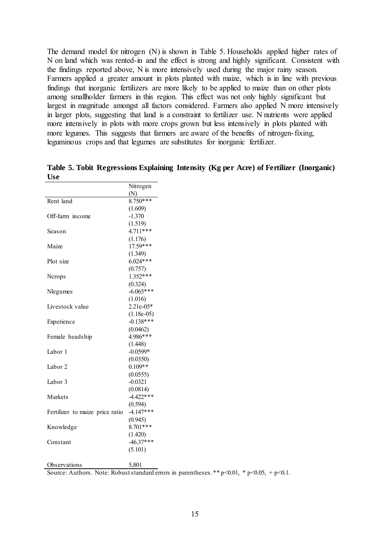The demand model for nitrogen (N) is shown in Table 5. Households applied higher rates of N on land which was rented-in and the effect is strong and highly significant. Consistent with the findings reported above, N is more intensively used during the major rainy season. Farmers applied a greater amount in plots planted with maize, which is in line with previous findings that inorganic fertilizers are more likely to be applied to maize than on other plots among smallholder farmers in this region. This effect was not only highly significant but largest in magnitude amongst all factors considered. Farmers also applied N more intensively in larger plots, suggesting that land is a constraint to fertilizer use. N nutrients were applied more intensively in plots with more crops grown but less intensively in plots planted with more legumes. This suggests that farmers are aware of the benefits of nitrogen-fixing, leguminous crops and that legumes are substitutes for inorganic fertilizer.

**Table 5. Tobit Regressions Explaining Intensity (Kg per Acre) of Fertilizer (Inorganic) Use**

|                                 | Nitrogen               |
|---------------------------------|------------------------|
|                                 | (N)                    |
| Rent land                       | $8.750***$             |
|                                 | (1.609)                |
| Off-farm income                 | $-1.370$               |
|                                 | (1.519)                |
| Season                          | $4.711***$             |
|                                 | (1.176)                |
| Maize                           | $17.59***$             |
|                                 | (1.349)                |
| Plot size                       | $6.024***$             |
|                                 | (0.757)                |
| Nerops                          | $1.352**$              |
|                                 | (0.324)                |
| Nlegumes                        | $-6.065***$            |
|                                 | (1.016)                |
| Livestock value                 | $2.21e-05*$            |
|                                 | $(1.18e-05)$           |
| Experience                      | $-0.138***$            |
|                                 | (0.0462)               |
| Female headship                 | 4.986***               |
|                                 | (1.448)                |
| Labor 1                         | $-0.0599*$             |
|                                 | (0.0350)               |
| Labor 2                         | $0.109**$              |
|                                 | (0.0555)               |
| Labor 3                         | $-0.0321$              |
|                                 | (0.0814)               |
| Markets                         | $-4.422***$            |
|                                 | (0.594)                |
| Fertilizer to maize price ratio | $-4.147***$            |
|                                 | (0.945)                |
| Knowledge                       | $8.701***$             |
|                                 | (1.420)<br>$-46.37***$ |
| Constant                        |                        |
|                                 | (5.101)                |
| Observations                    | 5,801                  |

Source: Authors. Note: Robust standard errors in parentheses. \*\*  $p$  < 0.01, \*  $p$  < 0.05, +  $p$  < 0.1.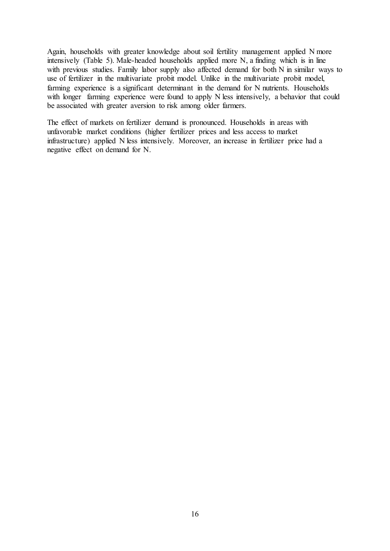Again, households with greater knowledge about soil fertility management applied N more intensively (Table 5). Male-headed households applied more N, a finding which is in line with previous studies. Family labor supply also affected demand for both N in similar ways to use of fertilizer in the multivariate probit model. Unlike in the multivariate probit model, farming experience is a significant determinant in the demand for N nutrients. Households with longer farming experience were found to apply N less intensively, a behavior that could be associated with greater aversion to risk among older farmers.

The effect of markets on fertilizer demand is pronounced. Households in areas with unfavorable market conditions (higher fertilizer prices and less access to market infrastructure) applied N less intensively. Moreover, an increase in fertilizer price had a negative effect on demand for N.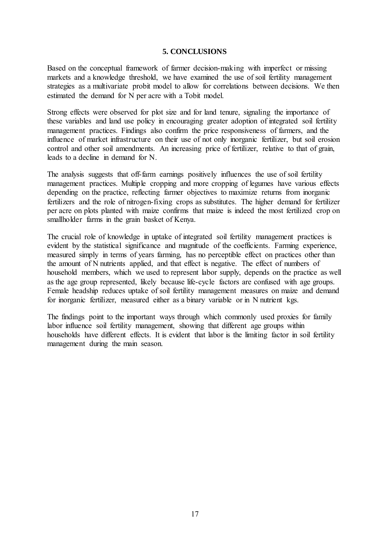#### **5. CONCLUSIONS**

Based on the conceptual framework of farmer decision-making with imperfect or missing markets and a knowledge threshold, we have examined the use of soil fertility management strategies as a multivariate probit model to allow for correlations between decisions. We then estimated the demand for N per acre with a Tobit model.

Strong effects were observed for plot size and for land tenure, signaling the importance of these variables and land use policy in encouraging greater adoption of integrated soil fertility management practices. Findings also confirm the price responsiveness of farmers, and the influence of market infrastructure on their use of not only inorganic fertilizer, but soil erosion control and other soil amendments. An increasing price of fertilizer, relative to that of grain, leads to a decline in demand for N.

The analysis suggests that off-farm earnings positively influences the use of soil fertility management practices. Multiple cropping and more cropping of legumes have various effects depending on the practice, reflecting farmer objectives to maximize returns from inorganic fertilizers and the role of nitrogen-fixing crops as substitutes. The higher demand for fertilizer per acre on plots planted with maize confirms that maize is indeed the most fertilized crop on smallholder farms in the grain basket of Kenya.

The crucial role of knowledge in uptake of integrated soil fertility management practices is evident by the statistical significance and magnitude of the coefficients. Farming experience, measured simply in terms of years farming, has no perceptible effect on practices other than the amount of N nutrients applied, and that effect is negative. The effect of numbers of household members, which we used to represent labor supply, depends on the practice as well as the age group represented, likely because life-cycle factors are confused with age groups. Female headship reduces uptake of soil fertility management measures on maize and demand for inorganic fertilizer, measured either as a binary variable or in N nutrient kgs.

The findings point to the important ways through which commonly used proxies for family labor influence soil fertility management, showing that different age groups within households have different effects. It is evident that labor is the limiting factor in soil fertility management during the main season.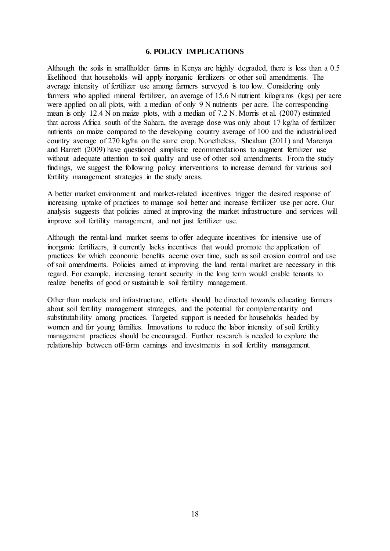#### **6. POLICY IMPLICATIONS**

Although the soils in smallholder farms in Kenya are highly degraded, there is less than a 0.5 likelihood that households will apply inorganic fertilizers or other soil amendments. The average intensity of fertilizer use among farmers surveyed is too low. Considering only farmers who applied mineral fertilizer, an average of 15.6 N nutrient kilograms (kgs) per acre were applied on all plots, with a median of only 9 N nutrients per acre. The corresponding mean is only 12.4 N on maize plots, with a median of 7.2 N. Morris et al. (2007) estimated that across Africa south of the Sahara, the average dose was only about 17 kg/ha of fertilizer nutrients on maize compared to the developing country average of 100 and the industrialized country average of 270 kg/ha on the same crop. Nonetheless, Sheahan (2011) and Marenya and Barrett (2009) have questioned simplistic recommendations to augment fertilizer use without adequate attention to soil quality and use of other soil amendments. From the study findings, we suggest the following policy interventions to increase demand for various soil fertility management strategies in the study areas.

A better market environment and market-related incentives trigger the desired response of increasing uptake of practices to manage soil better and increase fertilizer use per acre. Our analysis suggests that policies aimed at improving the market infrastructure and services will improve soil fertility management, and not just fertilizer use.

Although the rental-land market seems to offer adequate incentives for intensive use of inorganic fertilizers, it currently lacks incentives that would promote the application of practices for which economic benefits accrue over time, such as soil erosion control and use of soil amendments. Policies aimed at improving the land rental market are necessary in this regard. For example, increasing tenant security in the long term would enable tenants to realize benefits of good or sustainable soil fertility management.

Other than markets and infrastructure, efforts should be directed towards educating farmers about soil fertility management strategies, and the potential for complementarity and substitutability among practices. Targeted support is needed for households headed by women and for young families. Innovations to reduce the labor intensity of soil fertility management practices should be encouraged. Further research is needed to explore the relationship between off-farm earnings and investments in soil fertility management.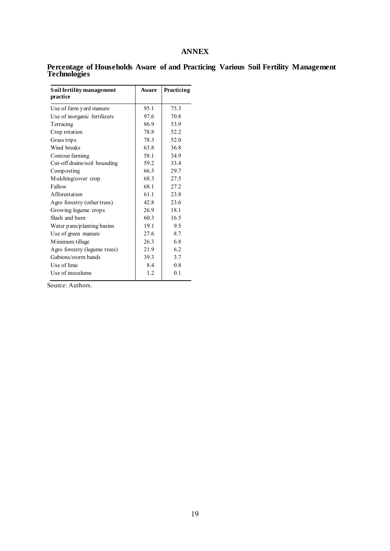## **ANNEX**

| Soil fertility management<br>practice | Aware | Practicing |
|---------------------------------------|-------|------------|
| Use of farm yard manure               | 95.1  | 75.3       |
| Use of inorganic fertilizers          | 97.6  | 70.8       |
| Terracing                             | 86.9  | 53.9       |
| Crop rotation                         | 78.8  | 52.2       |
| Grass trips                           | 78.3  | 52.0       |
| Wind breaks                           | 63.8  | 36.8       |
| Contour farming                       | 58.1  | 34.9       |
| Cut-off drains/soil bounding          | 59.2  | 33.4       |
| Composting                            | 66.5  | 29.7       |
| Mulching/cover crop                   | 68.3  | 27.5       |
| Fallow                                | 68.1  | 27.2       |
| Afforestation                         | 61.1  | 23.8       |
| Agro forestry (other trees)           | 42.8  | 23.6       |
| Growing legume crops                  | 26.9  | 18.1       |
| Slash and burn                        | 60.3  | 16.5       |
| Water pans/planting basins            | 19.1  | 9.5        |
| Use of green manure                   | 27.6  | 8.7        |
| M inimum tillage                      | 26.3  | 6.8        |
| Agro forestry (legume trees)          | 21.9  | 6.2        |
| Gabions/storm bands                   | 39.3  | 3.7        |
| Use of lime                           | 8.4   | 0.8        |
| Use of inoculums                      | 1.2   | 0.1        |

**Percentage of Households Aware of and Practicing Various Soil Fertility Management Technologies**

Source: Authors.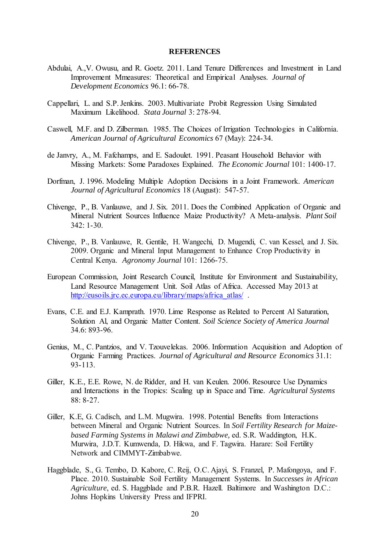#### **REFERENCES**

- Abdulai, A.,V. Owusu, and R. Goetz. 2011. Land Tenure Differences and Investment in Land Improvement Mmeasures: Theoretical and Empirical Analyses. *Journal of Development Economics* 96.1: 66-78.
- Cappellari, L. and S.P. Jenkins. 2003. Multivariate Probit Regression Using Simulated Maximum Likelihood. *Stata Journal* 3: 278-94.
- Caswell, M.F. and D. Zilberman. 1985. The Choices of Irrigation Technologies in California. *American Journal of Agricultural Economics* 67 (May): 224-34.
- de Janvry, A., M. Fafchamps, and E. Sadoulet. 1991. Peasant Household Behavior with Missing Markets: Some Paradoxes Explained. *The Economic Journal* 101: 1400-17.
- Dorfman, J. 1996. Modeling Multiple Adoption Decisions in a Joint Framework. *American Journal of Agricultural Economics* 18 (August): 547-57.
- Chivenge, P., B. Vanlauwe, and J. Six. 2011. Does the Combined Application of Organic and Mineral Nutrient Sources Influence Maize Productivity? A Meta-analysis. *Plant Soil* 342: 1-30.
- Chivenge, P., B. Vanlauwe, R. Gentile, H. Wangechi, D. Mugendi, C. van Kessel, and J. Six. 2009. Organic and Mineral Input Management to Enhance Crop Productivity in Central Kenya. *Agronomy Journal* 101: 1266-75.
- European Commission, Joint Research Council, Institute for Environment and Sustainability, Land Resource Management Unit. Soil Atlas of Africa. Accessed May 2013 at [http://eusoils.jrc.ec.europa.eu/library/maps/africa\\_atlas/](http://eusoils.jrc.ec.europa.eu/library/maps/africa_atlas/) .
- Evans, C.E. and E.J. Kamprath. 1970. Lime Response as Related to Percent Al Saturation, Solution Al, and Organic Matter Content. *Soil Science Society of America Journal* 34.6: 893-96.
- Genius, M., C. Pantzios, and V. Tzouvelekas. 2006. Information Acquisition and Adoption of Organic Farming Practices. *Journal of Agricultural and Resource Economics* 31.1: 93-113.
- Giller, K.E., E.E. Rowe, N. de Ridder, and H. van Keulen. 2006. Resource Use Dynamics and Interactions in the Tropics: Scaling up in Space and Time. *Agricultural Systems* 88: 8-27.
- Giller, K.E, G. Cadisch, and L.M. Mugwira. 1998. Potential Benefits from Interactions between Mineral and Organic Nutrient Sources. In *Soil Fertility Research for Maizebased Farming Systems in Malawi and Zimbabwe,* ed. S.R. Waddington, H.K. Murwira, J.D.T. Kumwenda, D. Hikwa, and F. Tagwira. Harare: Soil Fertility Network and CIMMYT-Zimbabwe.
- Haggblade, S., G. Tembo, D. Kabore, C. Reij, O.C. Ajayi, S. Franzel, P. Mafongoya, and F. Place. 2010. Sustainable Soil Fertility Management Systems. In *Successes in African Agriculture*, ed. S. Haggblade and P.B.R. Hazell. Baltimore and Washington D.C.: Johns Hopkins University Press and IFPRI.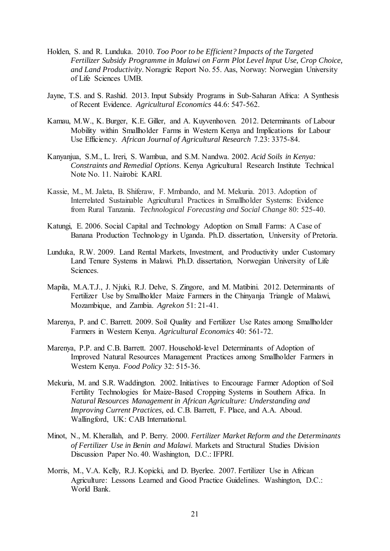- Holden, S. and R. Lunduka. 2010. *Too Poor to be Efficient? Impacts of the Targeted Fertilizer Subsidy Programme in Malawi on Farm Plot Level Input Use, Crop Choice, and Land Productivity*. Noragric Report No. 55. Aas, Norway: Norwegian University of Life Sciences UMB.
- Jayne, T.S. and S. Rashid. 2013. Input Subsidy Programs in Sub-Saharan Africa: A Synthesis of Recent Evidence. *Agricultural Economics* 44.6: 547-562.
- Kamau, M.W., K. Burger, K.E. Giller, and A. Kuyvenhoven. 2012. Determinants of Labour Mobility within Smallholder Farms in Western Kenya and Implications for Labour Use Efficiency. *African Journal of Agricultural Research* 7.23: 3375-84.
- Kanyanjua, S.M., L. Ireri, S. Wambua, and S.M. Nandwa. 2002. *Acid Soils in Kenya: Constraints and Remedial Options*. Kenya Agricultural Research Institute Technical Note No. 11. Nairobi: KARI.
- Kassie, M., M. Jaleta, B. Shiferaw, F. Mmbando, and M. Mekuria. 2013. Adoption of Interrelated Sustainable Agricultural Practices in Smallholder Systems: Evidence from Rural Tanzania. *Technological Forecasting and Social Change* 80: 525-40.
- Katungi, E. 2006. Social Capital and Technology Adoption on Small Farms: A Case of Banana Production Technology in Uganda. Ph.D. dissertation, University of Pretoria.
- Lunduka, R.W. 2009. Land Rental Markets, Investment, and Productivity under Customary Land Tenure Systems in Malawi. Ph.D. dissertation, Norwegian University of Life Sciences.
- Mapila, M.A.T.J., J. Njuki, R.J. Delve, S. Zingore, and M. Matibini. 2012. Determinants of Fertilizer Use by Smallholder Maize Farmers in the Chinyanja Triangle of Malawi, Mozambique, and Zambia. *Agrekon* 51: 21-41.
- Marenya, P. and C. Barrett. 2009. Soil Quality and Fertilizer Use Rates among Smallholder Farmers in Western Kenya. *Agricultural Economics* 40: 561-72.
- Marenya, P.P. and C.B. Barrett. 2007. Household-level Determinants of Adoption of Improved Natural Resources Management Practices among Smallholder Farmers in Western Kenya. *Food Policy* 32: 515-36.
- Mekuria, M. and S.R. Waddington. 2002. Initiatives to Encourage Farmer Adoption of Soil Fertility Technologies for Maize-Based Cropping Systems in Southern Africa. In *Natural Resources Management in African Agriculture: Understanding and Improving Current Practices,* ed. C.B. Barrett, F. Place, and A.A. Aboud. Wallingford, UK: CAB International.
- Minot, N., M. Kherallah, and P. Berry. 2000. *Fertilizer Market Reform and the Determinants of Fertilizer Use in Benin and Malawi*. Markets and Structural Studies Division Discussion Paper No. 40. Washington, D.C.: IFPRI.
- Morris, M., V.A. Kelly, R.J. Kopicki, and D. Byerlee. 2007. Fertilizer Use in African Agriculture: Lessons Learned and Good Practice Guidelines. Washington, D.C.: World Bank.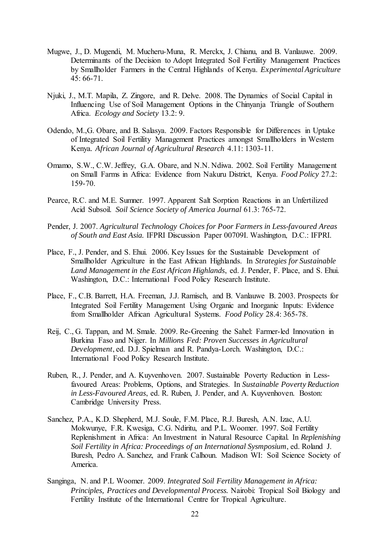- Mugwe, J., D. Mugendi, M. Mucheru-Muna, R. Merckx, J. Chianu, and B. Vanlauwe. 2009. Determinants of the Decision to Adopt Integrated Soil Fertility Management Practices by Smallholder Farmers in the Central Highlands of Kenya. *Experimental Agriculture* 45: 66-71.
- Njuki, J., M.T. Mapila, Z. Zingore, and R. Delve. 2008. The Dynamics of Social Capital in Influencing Use of Soil Management Options in the Chinyanja Triangle of Southern Africa. *Ecology and Society* 13.2: 9.
- Odendo, M.,G. Obare, and B. Salasya. 2009. Factors Responsible for Differences in Uptake of Integrated Soil Fertility Management Practices amongst Smallholders in Western Kenya*. African Journal of Agricultural Research* 4.11: 1303-11.
- Omamo, S.W., C.W. Jeffrey, G.A. Obare, and N.N. Ndiwa. 2002. Soil Fertility Management on Small Farms in Africa: Evidence from Nakuru District, Kenya. *Food Policy* 27.2: 159-70.
- Pearce, R.C. and M.E. Sumner. 1997. Apparent Salt Sorption Reactions in an Unfertilized Acid Subsoil. *Soil Science Society of America Journal* 61.3: 765-72.
- Pender, J. 2007. *Agricultural Technology Choices for Poor Farmers in Less-favoured Areas of South and East Asia.* IFPRI Discussion Paper 00709I. Washington, D.C.: IFPRI.
- Place, F., J. Pender, and S. Ehui. 2006. Key Issues for the Sustainable Development of Smallholder Agriculture in the East African Highlands. In *Strategies for Sustainable Land Management in the East African Highlands*, ed. J. Pender, F. Place, and S. Ehui. Washington, D.C.: International Food Policy Research Institute.
- Place, F., C.B. Barrett, H.A. Freeman, J.J. Ramisch, and B. Vanlauwe B. 2003. Prospects for Integrated Soil Fertility Management Using Organic and Inorganic Inputs: Evidence from Smallholder African Agricultural Systems. *Food Policy* 28.4: 365-78.
- Reij, C., G. Tappan, and M. Smale. 2009. Re-Greening the Sahel: Farmer-led Innovation in Burkina Faso and Niger. In *Millions Fed: Proven Successes in Agricultural Development*, ed. D.J. Spielman and R. Pandya-Lorch. Washington, D.C.: International Food Policy Research Institute.
- Ruben, R., J. Pender, and A. Kuyvenhoven. 2007. Sustainable Poverty Reduction in Lessfavoured Areas: Problems, Options, and Strategies. In *Sustainable Poverty Reduction in Less-Favoured Areas*, ed. R. Ruben, J. Pender, and A. Kuyvenhoven. Boston: Cambridge University Press.
- Sanchez, P.A., K.D. Shepherd, M.J. Soule, F.M. Place, R.J. Buresh, A.N. Izac, A.U. Mokwunye, F.R. Kwesiga, C.G. Ndiritu, and P.L. Woomer. 1997. Soil Fertility Replenishment in Africa: An Investment in Natural Resource Capital. In *Replenishing Soil Fertility in Africa: Proceedings of an International Sysmposium*, ed. Roland J. Buresh, Pedro A. Sanchez, and Frank Calhoun. Madison WI: Soil Science Society of America.
- Sanginga, N. and P.L Woomer. 2009. *Integrated Soil Fertility Management in Africa: Principles, Practices and Developmental Process.* Nairobi: Tropical Soil Biology and Fertility Institute of the International Centre for Tropical Agriculture.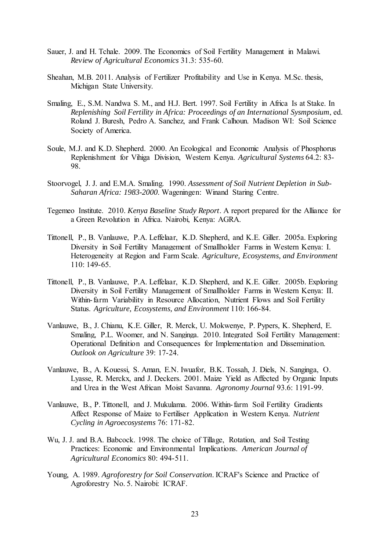- Sauer, J. and H. Tchale. 2009. The Economics of Soil Fertility Management in Malawi. *Review of Agricultural Economics* 31.3: 535-60.
- Sheahan, M.B. 2011. Analysis of Fertilizer Profitability and Use in Kenya. M.Sc. thesis, Michigan State University.
- Smaling, E., S.M. Nandwa S. M., and H.J. Bert. 1997. Soil Fertility in Africa Is at Stake. In *Replenishing Soil Fertility in Africa: Proceedings of an International Sysmposium*, ed. Roland J. Buresh, Pedro A. Sanchez, and Frank Calhoun. Madison WI: Soil Science Society of America.
- Soule, M.J. and K.D. Shepherd. 2000. An Ecological and Economic Analysis of Phosphorus Replenishment for Vihiga Division, Western Kenya. *Agricultural Systems* 64.2: 83- 98.
- Stoorvogel, J. J. and E.M.A. Smaling. 1990. *Assessment of Soil Nutrient Depletion in Sub-Saharan Africa: 1983-2000*. Wageningen: Winand Staring Centre.
- Tegemeo Institute. 2010. *Kenya Baseline Study Report*. A report prepared for the Alliance for a Green Revolution in Africa. Nairobi, Kenya: AGRA.
- Tittonell, P., B. Vanlauwe, P.A. Leffelaar, K.D. Shepherd, and K.E. Giller. 2005a. Exploring Diversity in Soil Fertility Management of Smallholder Farms in Western Kenya: I. Heterogeneity at Region and Farm Scale. *Agriculture, Ecosystems, and Environment* 110: 149-65.
- Tittonell, P., B. Vanlauwe, P.A. Leffelaar, K.D. Shepherd, and K.E. Giller. 2005b. Exploring Diversity in Soil Fertility Management of Smallholder Farms in Western Kenya: II. Within-farm Variability in Resource Allocation, Nutrient Flows and Soil Fertility Status. *Agriculture, Ecosystems, and Environment* 110: 166-84.
- Vanlauwe, B., J. Chianu, K.E. Giller, R. Merck, U. Mokwenye, P. Pypers, K. Shepherd, E. Smaling, P.L. Woomer, and N. Sanginga. 2010. Integrated Soil Fertility Management: Operational Definition and Consequences for Implementation and Dissemination. *Outlook on Agriculture* 39: 17-24.
- Vanlauwe, B., A. Kouessi, S. Aman, E.N. Iwuafor, B.K. Tossah, J. Diels, N. Sanginga, O. Lyasse, R. Merckx, and J. Deckers. 2001. Maize Yield as Affected by Organic Inputs and Urea in the West African Moist Savanna. *Agronomy Journal* 93.6: 1191-99.
- Vanlauwe, B., P. Tittonell, and J. Mukulama. 2006. Within-farm Soil Fertility Gradients Affect Response of Maize to Fertiliser Application in Western Kenya. *Nutrient Cycling in Agroecosystems* 76: 171-82.
- Wu, J. J. and B.A. Babcock. 1998. The choice of Tillage, Rotation, and Soil Testing Practices: Economic and Environmental Implications. *American Journal of Agricultural Economics* 80: 494-511.
- Young, A. 1989. *Agroforestry for Soil Conservation*. ICRAF's Science and Practice of Agroforestry No. 5. Nairobi: ICRAF.